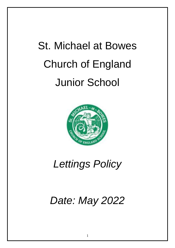# St. Michael at Bowes Church of England Junior School



*Lettings Policy*

*Date: May 2022*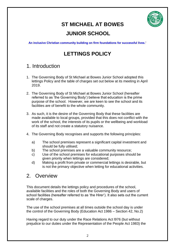

# **ST MICHAEL AT BOWES**

## **JUNIOR SCHOOL**

**An inclusive Christian community building on firm foundations for successful lives.'**

## **LETTINGS POLICY**

## 1. Introduction

- 1. The Governing Body of St Michael at Bowes Junior School adopted this lettings Policy and the table of charges set out below at its meeting in April 2019.
- 2. The Governing Body of St Michael at Bowes Junior School (hereafter referred to as 'the Governing Body') believe that education is the prime purpose of the school. However, we are keen to see the school and its facilities are of benefit to the whole community.
- 3. As such, it is the desire of the Governing Body that these facilities are made available to local groups, provided that this does not conflict with the work of the school, the interests of its pupils or the wellbeing and workload of its staff and not create a statutory nuisance.
- 4. The Governing Body recognises and supports the following principles:
	- a) The school premises represent a significant capital investment and should be fully utilised;
	- b) The school premises are a valuable community resource;
	- c) Use of the school premises for educational purposes should be given priority when lettings are considered;
	- d) Making a profit from private or commercial lettings is desirable, but is not the primary objective when letting for educational activities.

## 2. Overview

This document details the lettings policy and procedures of the school, available facilities and the roles of both the Governing Body and users of school facilities (hereafter referred to as 'the Hirer'). It also sets out the current scale of charges.

The use of the school premises at all times outside the school day is under the control of the Governing Body (Education Act 1986 – Section 42, No.2)

Having regard to our duty under the Race Relations Act l976 (but without prejudice to our duties under the Representation of the People Act 1983) the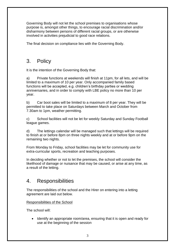Governing Body will not let the school premises to organisations whose purpose is, amongst other things, to encourage racial discrimination and/or disharmony between persons of different racial groups, or are otherwise involved in activities prejudicial to good race relations.

The final decision on compliance lies with the Governing Body.

## 3. Policy

It is the intention of the Governing Body that:

a) Private functions at weekends will finish at 11pm, for all lets, and will be limited to a maximum of 10 per year. Only accompanied family based functions will be accepted, e.g. children's birthday parties or wedding anniversaries, and in order to comply with LBE policy no more than 10 per year.

b) Car boot sales will be limited to a maximum of 8 per year. They will be permitted to take place on Saturdays between March and October from 7.30am to 1pm, weather permitting.

c) School facilities will not be let for weekly Saturday and Sunday Football league games.

d) The lettings calendar will be managed such that lettings will be required to finish at or before 8pm on three nights weekly and at or before 9pm on the remaining two nights.

From Monday to Friday, school facilities may be let for community use for extra-curricular sports, recreation and teaching purposes.

In deciding whether or not to let the premises, the school will consider the likelihood of damage or nuisance that may be caused, or arise at any time, as a result of the letting.

## 4. Responsibilities

The responsibilities of the school and the Hirer on entering into a letting agreement are laid out below.

Responsibilities of the School

The school will:

• Identify an appropriate room/area, ensuring that it is open and ready for use at the beginning of the session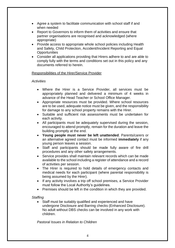- Agree a system to facilitate communication with school staff if and when needed
- Report to Governors to inform them of activities and ensure that partner organisations are recognised and acknowledged (where appropriate)
- Provide access to appropriate whole school policies including Health and Safety, Child Protection, Accident/Incident Reporting and Equal **Opportunities**
- Consider all applications providing that Hirers adhere to and are able to comply fully with the terms and conditions set out in this policy and any documents referred to herein.

## Responsibilities of the Hirer/Service Provider

### *Activities*

- Where the Hirer is a Service Provider, all services must be appropriately planned and delivered a minimum of 4 weeks in advance of the Head Teacher or School Office Manager.
- Appropriate resources must be provided. Where school resources are to be used, adequate notice must be given, and the responsibility for damage to any school property remains with the Hirer.
- Suitable and sufficient risk assessments must be undertaken for each activity.
- All participants must be adequately supervised during the session, encouraged to attend promptly, remain for the duration and leave the building promptly at the end.
- **Young people must never be left unattended**. Parents/carers or an alternative agreed contact must be informed **immediately** if any young person leaves a session.
- Staff and participants should be made fully aware of fire drill procedures and any other safety arrangements.
- Service provides shall maintain relevant records which can be made available to the school including a register of attendance and a record of activities per session.
- The Hirer is required to hold details of emergency contacts and medical needs for each participant (where parental responsibility is being assumed by the Hirer).
- If any activity involves a trip off school premises, a Service Provider must follow the Local Authority's guidelines.
- Premises should be left in the condition in which they are provided.

### *Staffing*

• Staff must be suitably qualified and experienced and have undergone Disclosure and Barring checks (Enhanced Disclosure). No adult without DBS checks can be involved in any work with children.

*Pastoral Issues in Relation to Children*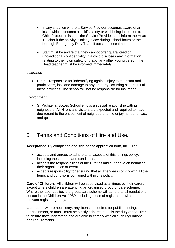- In any situation where a Service Provider becomes aware of an issue which concerns a child's safety or well-being in relation to Child Protection issues, the Service Provider shall inform the Head Teacher if the activity is taking place during school hours or the borough Emergency Duty Team if outside these times.
- Staff must be aware that they cannot offer guaranteed or unconditional confidentiality. If a child discloses any information relating to their own safety or that of any other young person, the Head teacher must be informed immediately.

### *Insurance*

• Hirer is responsible for indemnifying against injury to their staff and participants, loss and damage to any property occurring as a result of these activities. The school will not be responsible for insurance.

#### *Environment*

• St Michael at Bowes School enjoys a special relationship with its neighbours. All Hirers and visitors are expected and required to have due regard to the entitlement of neighbours to the enjoyment of privacy and quiet.

## 5. Terms and Conditions of Hire and Use.

**Acceptance**. By completing and signing the application form, the Hirer:

- accepts and agrees to adhere to all aspects of this lettings policy, including these terms and conditions.
- accepts the responsibilities of the Hirer as laid out above on behalf of their organisation or event
- accepts responsibility for ensuring that all attendees comply with all the terms and conditions contained within this policy.

**Care of Children**. All children will be supervised at all times by their carers except where children are attending an organised group or care scheme. Where the latter applies, the group/care scheme will adhere to all regulations set out in the Children Act 1989, including those of registration with the relevant registering body.

**Licences**. Where necessary, any licenses required for public dancing, entertainment, or music must be strictly adhered to. It is the duty of the Hirer to ensure they understand and are able to comply with all such regulations and requirements.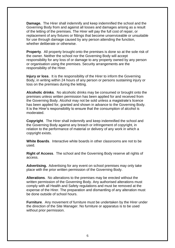**Damage.** The Hirer shall indemnify and keep indemnified the school and the Governing Body from and against all losses and damages arising as a result of the letting of the premises. The Hirer will pay the full cost of repair, or replacement of any fixtures or fittings that become unserviceable or unsuitable for use through damage caused by any person attending the function, whether deliberate or otherwise.

**Property**. All property brought onto the premises is done so at the sole risk of the owner. Neither the school nor the Governing Body will accept responsibility for any loss of or damage to any property owned by any person or organisation using the premises. Security arrangements are the responsibility of the Hirer.

**Injury or loss**. It is the responsibility of the Hirer to inform the Governing Body, in writing within 24 hours of any person or persons sustaining injury or loss on the premises during the letting.

**Alcoholic drinks**. No alcoholic drinks may be consumed or brought onto the premises unless written permission has been applied for and received from the Governing Body. Alcohol may not be sold unless a magistrate's licence has been applied for, granted and shown in advance to the Governing Body. It is the Hirer's responsibility to ensure that the consumption of alcohol is moderated.

**Copyright**. The Hirer shall indemnify and keep indemnified the school and the Governing Body against any breach or infringement of copyright, in relation to the performance of material or delivery of any work in which a copyright exists.

**White Boards**. Interactive white boards in other classrooms are not to be used.

**Right of Access**. The school and the Governing Body reserve all rights of access.

**Advertising.** Advertising for any event on school premises may only take place with the prior written permission of the Governing Body.

**Alterations**. No alterations to the premises may be erected without the written permission of the Governing Body. Any authorised alterations must comply with all Health and Safety regulations and must be removed at the expense of the Hirer. The preparation and dismantling of any alteration must be done outside of school hours.

**Furniture**. Any movement of furniture must be undertaken by the Hirer under the direction of the Site Manager. No furniture or apparatus is to be used without prior permission.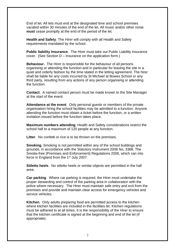End of let. All lets must end at the designated time and school premises vacated within 30 minutes of the end of the let. All music and/or other noise **must** cease promptly at the end of the period of the let.

**Health and Safety**. The Hirer will comply with all Health and Safety requirements mandated by the school.

**Public liability Insurance**. The Hirer must take out Public Liability Insurance cover. (See Section D – Insurance on the application form.)

**Behaviour.** The Hirer is responsible for the behaviour of all persons organising or attending the function and in particular for leaving the site in a quiet and orderly fashion by the time stated in the letting agreement. The hirer shall be liable for any costs incurred by St Michael at Bowes School or any third party, resulting from any actions of any person organising or attending the function.

**Contact**. A named contact person must be made known to the Site Manager at the start of the event.

**Attendance at the event**. Only personal guests or members of the private organisation hiring the school facilities may be admitted to a function. Anyone attending the function must obtain a ticket before the function, or a written invitation issued before the function takes place.

**Maximum numbers attending**. Health and Safety considerations restrict the school hall to a maximum of 120 people at any function.

**Litter**. No confetti or rice is to be thrown on the premises.

**Smoking.** Smoking is not permitted within any of the school buildings and grounds, in accordance with the Statutory Instrument 2006 No. 3368. The Smoke-free (Premises and Enforcement) Regulations 2006, which can into force in England from the 1<sup>st</sup> July 2007.

**Stiletto heels**. No stiletto heels or similar objects are permitted in the hall area.

**Car parking**. Where car parking is required, the Hirer must undertake the proper stewarding and control of the parking area in collaboration with the police where necessary. The Hirer must maintain safe entry and exit from the premises and provide and maintain clear access for emergency vehicles and service vehicles.

**Kitchen**. Only adults preparing food are permitted access to the kitchen where kitchen facilities are included in the facilities let. Kitchen regulations must be adhered to at all times. It is the responsibility of the Hirer to ensure that the kitchen certificate is signed at the beginning and end of the let (if appropriate).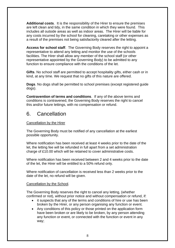**Additional costs**. It is the responsibility of the Hirer to ensure the premises are left clean and tidy, in the same condition in which they were found. This includes all outside areas as well as indoor areas. The Hirer will be liable for any costs incurred by the school for cleaning, caretaking or other expenses as a result of the premises not being satisfactorily cleared after the letting.

**Access for school staff**. The Governing Body reserves the right to appoint a representative to attend any letting and monitor the use of the schools facilities. The Hirer shall allow any member of the school staff (or other representative appointed by the Governing Body) to be admitted to any function to ensure compliance with the conditions of the let.

**Gifts**. No school staff are permitted to accept hospitality gifts, either cash or in kind, at any time. We request that no gifts of this nature are offered.

**Dogs**. No dogs shall be permitted to school premises (except registered guide dogs).

**Contravention of terms and conditions**. If any of the above terms and conditions is contravened, the Governing Body reserves the right to cancel this and/or future lettings, with no compensation or refund.

## 6. Cancellation

## Cancellation by the Hirer

The Governing Body must be notified of any cancellation at the earliest possible opportunity.

Where notification has been received at least 4 weeks prior to the date of the let, the letting fee will be refunded in full apart from a set administration charge of £10.00 which will be retained to cover administrative costs.

Where notification has been received between 2 and 4 weeks prior to the date of the let, the Hirer will be entitled to a 50% refund only.

Where notification of cancellation is received less than 2 weeks prior to the date of the let, no refund will be given.

### Cancellation by the School.

The Governing Body reserves the right to cancel any letting, (whether confirmed or not), without prior notice and without compensation or refund, if:

- it suspects that any of the terms and conditions of hire or use has been broken by the Hirer, or any person organising any function or event.
- Any conditions of this policy or those printed on the application form have been broken or are likely to be broken, by any person attending any function or event, or connected with the function or event in any way;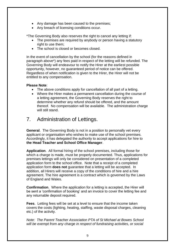- Any damage has been caused to the premises;
- Any breach of licensing conditions occur.

\*The Governing Body also reserves the right to cancel any letting if:

- The premises are required by anybody or person having a statutory right to use them:
- The school is closed or becomes closed.

In the event of cancellation by the school (for the reasons defined in paragraph above\*) any fees paid in respect of the letting will be refunded. The Governing Body will endeavour to notify the Hirer at the earliest possible opportunity, however, no guaranteed period of notice can be offered. Regardless of when notification is given to the Hirer, the Hirer will not be entitled to any compensation.

## **Please Note**:

- The above conditions apply for cancellation of all part of a letting.
- Where the Hirer makes a permanent cancellation during the course of a letting agreement, the Governing Body reserves the right to determine whether any refund should be offered, and the amount thereof. No compensation will be available. The administration charge will still stand.

## 7. Administration of Lettings.

**General**. The Governing Body is not in a position to personally vet every applicant or organisation who wishes to make use of the school premises. Accordingly, it has delegated the authority to accept applications for hire to **the Head Teacher and School Office Manager**.

**Application**. All formal hiring of the school premises, including those for which a charge is made, must be properly documented. Thus, applications for premises lettings will only be considered on presentation of a completed application form to the school office. Note that a receipt of a completed application form **does not** guarantee that a letting will be accepted. In addition, all Hirers will receive a copy of the conditions of hire and a hire agreement. The hire agreement is a contract which is governed by the Laws of England and Wales.

**Confirmation**. Where the application for a letting is accepted, the Hirer will be sent a 'confirmation of booking' and an invoice to cover the letting fee and any returnable deposit required.

**Fees**. Letting fees will be set at a level to ensure that the income taken covers the costs (lighting, heating, staffing, waste disposal charges, cleaning etc.) of the activity.

*Note: The Parent Teacher Association PTA of St Michael at Bowes School will be exempt from any charge in respect of fundraising activities, or social*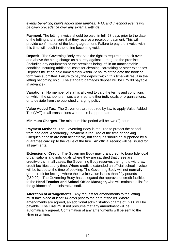*events benefiting pupils and/or their families. PTA and in-school events will be given precedence over any external lettings.*

**Payment**. The letting invoice should be paid, in full, 28 days prior to the date of the letting and ensure that they receive a receipt of payment. This will provide confirmation of the letting agreement. Failure to pay the invoice within this time will result in the letting becoming void.

**Deposit**. The Governing Body reserves the right to require a deposit over and above the hiring charge as a surety against damage to the premises (including any equipment) or the premises being left in an unacceptable condition incurring additional costs for cleaning, caretaking or other expenses. Deposits **must** be paid immediately within 72 hours of the date the booking form was submitted. Failure to pay the deposit within this time will result in the letting becoming void. (The standard damages deposit will be £75.00 payable in advance).

**Variations.** No member of staff is allowed to vary the terms and conditions on which the school premises are hired to either individuals or organisations, or to deviate from the published charging policy.

**Value Added Tax**. The Governors are required by law to apply Value Added Tax (VAT) to all transactions where this is appropriate.

**Minimum Charges**. The minimum hire period will be two (2) hours.

**Payment Methods**. The Governing Body is required to protect the school from bad debt. Accordingly, payment is required at the time of booking. Cheques or cash are both acceptable, but cheques should be supported by a guarantee card up to the value of the hire. An official receipt will be issued for all payments.

**Extension of Credit**. The Governing Body may grant credit to bona fide local organisations and individuals where they are satisfied that these are creditworthy. In all cases, the Governing Body reserves the right to withdraw credit facilities at any time. Where credit is extended an official school invoice will be issued at the time of booking. The Governing Body will not normally grant credit for lettings where the invoice value is less than fifty pounds (£50.00). The Governing Body has delegated the approval of credit facilities to the **Head Teacher and School Office Manager,** who will maintain a list for the guidance of administrative staff.

**Alteration of arrangements**. Any request for amendments to the letting must take place at least 14 days prior to the date of the let. Where amendments are agreed, an additional administration charge of £2.00 will be payable. The Hirer must not presume that any amendment will be automatically agreed. Confirmation of any amendments will be sent to the Hirer in writing.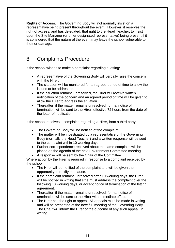**Rights of Access**. The Governing Body will not normally insist on a representative being present throughout the event. However, it reserves the right of access, and has delegated, that right to the Head Teacher, to insist upon the Site Manager (or other designated representative) being present if it is considered that the nature of the event may leave the school vulnerable to theft or damage.

## 8. Complaints Procedure

If the school wishes to make a complaint regarding a letting:

- A representative of the Governing Body will verbally raise the concern with the Hirer.
- The situation will be monitored for an agreed period of time to allow the issues to be addressed.
- If the situation remains unresolved, the Hirer will receive written notification of the concern and an agreed period of time will be given to allow the Hirer to address the situation.
- Thereafter, if the matter remains unresolved, formal notice of termination will be sent to the Hirer, effective 72 hours from the date of the letter of notification.

If the school receives a complaint, regarding a Hirer, from a third party:

- The Governing Body will be notified of the complaint.
- The matter will be investigated by a representative of the Governing Body (normally the Head Teacher) and a written response will be sent to the complaint within 10 working days.
- Further correspondence received about the same complaint will be placed on the agenda of the next Environment Committee meeting.
- A response will be sent by the Chair of the Committee.

Where action by the Hirer is required in response to a complaint received by the school:

- The Hirer will be notified of the complaint and will be given the opportunity to rectify the cause.
- If the complaint remains unresolved after 10 working days, the Hirer will be notified in writing that s/he must address the complaint over the following 10 working days, or accept notice of termination of the letting agreement.
- Thereafter, if the matter remains unresolved, formal notice of termination will be sent to the Hirer with immediate effect.
- The Hirer has the right to appeal. All appeals must be made in writing and will be presented at the next full meeting of the Governing Body. The Chair will inform the Hirer of the outcome of any such appeal, in writing.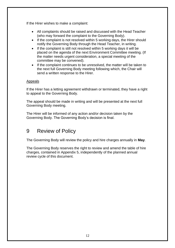If the Hirer wishes to make a complaint:

- All complaints should be raised and discussed with the Head Teacher (who may forward the complaint to the Governing Body).
- If the complaint is not resolved within 5 working days, the Hirer should notify the Governing Body through the Head Teacher, in writing.
- If the complaint is still not resolved within 5 working days it will be placed on the agenda of the next Environment Committee meeting. (If the matter needs urgent consideration, a special meeting of the committee may be convened).
- If the complaint continues to be unresolved, the matter will be taken to the next full Governing Body meeting following which, the Chair will send a written response to the Hirer.

## Appeals

If the Hirer has a letting agreement withdrawn or terminated, they have a right to appeal to the Governing Body.

The appeal should be made in writing and will be presented at the next full Governing Body meeting.

The Hirer will be informed of any action and/or decision taken by the Governing Body. The Governing Body's decision is final.

## 9 Review of Policy

The Governing Body will review the policy and hire charges annually in **May**.

The Governing Body reserves the right to review and amend the table of hire charges, contained in Appendix 5, independently of the planned annual review cycle of this document.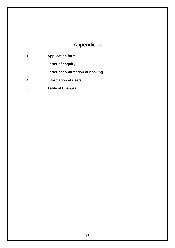# Appendices

| 1 | <b>Application form</b> |
|---|-------------------------|
|   |                         |

- **Letter of enquiry**
- **Letter of confirmation of booking**
- **Information of users**
- **Table of Charges**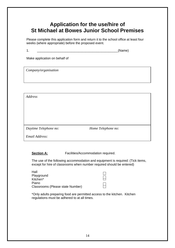## **Application for the use/hire of St Michael at Bowes Junior School Premises**

Please complete this application form and return it to the school office at least four weeks (where appropriate) before the proposed event.

 $1.$  (Name)

Make application on behalf of

*Company/organisation*

*Address*

*Daytime Telephone no: Home Telephone no:*

*Email Address:*

**Section A:** Facilities/Accommodation required.

The use of the following accommodation and equipment is required: (Tick items, except for hire of classrooms when number required should be entered)

| Hall                             |  |
|----------------------------------|--|
| Playground                       |  |
| Kitchen*                         |  |
| Piano                            |  |
| Classrooms (Please state Number) |  |
|                                  |  |

\*Only adults preparing food are permitted access to the kitchen. Kitchen regulations must be adhered to at all times.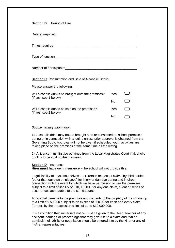### **Section B**: Period of Hire

| <b>Section C:</b> Consumption and Sale of Alcoholic Drinks |     |                          |  |
|------------------------------------------------------------|-----|--------------------------|--|
| Please answer the following:                               |     |                          |  |
| Will alcoholic drinks be brought onto the premises?        | Yes |                          |  |
| (If yes, see 1 below)                                      | No. | $\overline{\phantom{a}}$ |  |
| Will alcoholic drinks be sold on the premises?             | Yes | in a                     |  |
| (If yes, see 2 below)                                      | No  |                          |  |

#### *Supplementary Information*

1). Alcoholic drink may not be brought onto or consumed on school premises during or in connection with a letting unless prior approval is obtained from the Governing Body. Approval will not be given if scheduled youth activities are taking place on the premises at the same time as the letting.

2). A licence must first be obtained from the Local Magistrates Court if alcoholic drink is to be sold on the premises.

#### **Section D**: Insurance

**Hirer must have own insurance** – the school will not provide this.

Legal liability of myself/ourselves the Hirers in respect of claims by third parties (other than our own employees) for injury or damage during and in direct connection with the event for which we have permission to use the premises, subject to a limit of liability of £10,000,000 for any one claim, event or series of occurrences attributable to the same source.

Accidental damage to the premises and contents of the property of the school up to a limit of £50,000 subject to an excess of £50.00 for each and every claim. Further, by fire or explosion a limit of up to £10,000,000.

It is a condition that immediate notice must be given to the Head Teacher of any accident, damage or proceedings that may give rise to a claim and that no admission of liability or negotiation should be entered into by the Hirer or any of his/her representatives.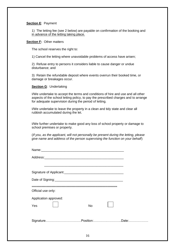#### **Section E**: Payment

1) The letting fee (see 2 below) are payable on confirmation of the booking and in advance of the letting taking place.

#### **Section F: Other matters**

The school reserves the right to:

1) Cancel the letting where unavoidable problems of access have arisen;

2) Refuse entry to persons it considers liable to cause danger or undue disturbance; and

3) Retain the refundable deposit where events overrun their booked time, or damage or breakages occur.

**Section G**: Undertaking

I/We undertake to accept the terms and conditions of hire and use and all other aspects of the school letting policy, to pay the prescribed charges and to arrange for adequate supervision during the period of letting.

I/We undertake to leave the property in a clean and tidy state and clear all rubbish accumulated during the let.

I/We further undertake to make good any loss of school property or damage to school premises or property.

(*If you, as the applicant, will not personally be present during the letting, please give name and address of the person supervising the function on your behalf*)

| Official use only:    |    |  |
|-----------------------|----|--|
| Application approved: |    |  |
| Yes                   | No |  |
|                       |    |  |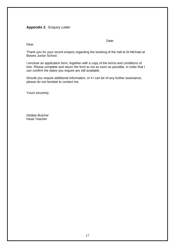## **Appendix 2.** Enquiry Letter

discussion of the contract of the contract of the Date:

Dear

Thank you for your recent enquiry regarding the booking of the hall at St Michael at Bowes Junior School.

I enclose an application form, together with a copy of the terms and conditions of hire. Please complete and return the form to me as soon as possible, in order that I can confirm the dates you require are still available.

Should you require additional information, or it I can be of any further assistance, please do not hesitate to contact me.

Yours sincerely,

Debbie Butcher Head Teacher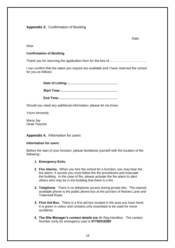## **Appendix 3.** Confirmation of Booking

Date:

Dear

#### **Confirmation of Booking**

Thank you for returning the application form for the hire of……………………………………………………

I can confirm that the dates you require are available and I have reserved the school for you as follows:

> **Date of Letting:……………………………………….. Start Time:…………………………………………….. End Time:………………………………………………**

Should you need any additional information, please let me know.

Yours sincerely,

Maria Jay Head Teacher

**Appendix 4.** Information for users

#### **Information for users**

Before the start of your function, please familiarise yourself with the location of the following:-

- **1. Emergency Exits.**
- **2. Fire Alarms.** When you hire the school for a function, you may hear the fire alarm, it sounds you must follow the fire procedures and evacuate the building. In the case of fire, please activate the fire alarm to alert others who may be in the building that there is a fire.
- **3. Telephone**. There is no telephone access during private lets. The nearest available phone is the public phone box at the junction of Wolves Lane and Tottenhall Road.
- **4. First Aid Box.** There is a first aid box located in the area you have hired. It is green in colour and contains only essentials to be used for minor accidents.
- **5. The Site Manager's contact details are** Mr Reg Hamilton. The contact Number (only for emergency use) is **07792018280**